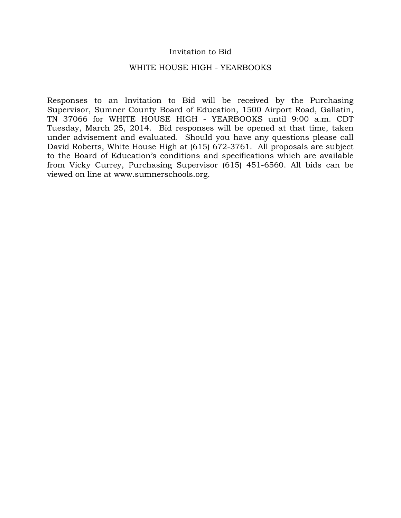## Invitation to Bid

### WHITE HOUSE HIGH - YEARBOOKS

Responses to an Invitation to Bid will be received by the Purchasing Supervisor, Sumner County Board of Education, 1500 Airport Road, Gallatin, TN 37066 for WHITE HOUSE HIGH - YEARBOOKS until 9:00 a.m. CDT Tuesday, March 25, 2014. Bid responses will be opened at that time, taken under advisement and evaluated. Should you have any questions please call David Roberts, White House High at (615) 672-3761. All proposals are subject to the Board of Education's conditions and specifications which are available from Vicky Currey, Purchasing Supervisor (615) 451-6560. All bids can be viewed on line at www.sumnerschools.org.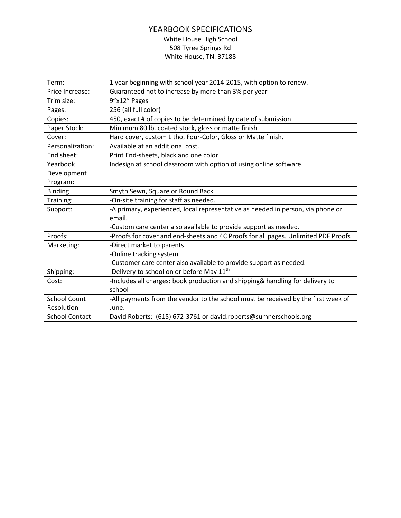# YEARBOOK SPECIFICATIONS White House High School 508 Tyree Springs Rd White House, TN. 37188

| Term:                 | 1 year beginning with school year 2014-2015, with option to renew.                 |
|-----------------------|------------------------------------------------------------------------------------|
| Price Increase:       | Guaranteed not to increase by more than 3% per year                                |
| Trim size:            | 9"x12" Pages                                                                       |
| Pages:                | 256 (all full color)                                                               |
| Copies:               | 450, exact # of copies to be determined by date of submission                      |
| Paper Stock:          | Minimum 80 lb. coated stock, gloss or matte finish                                 |
| Cover:                | Hard cover, custom Litho, Four-Color, Gloss or Matte finish.                       |
| Personalization:      | Available at an additional cost.                                                   |
| End sheet:            | Print End-sheets, black and one color                                              |
| Yearbook              | Indesign at school classroom with option of using online software.                 |
| Development           |                                                                                    |
| Program:              |                                                                                    |
| <b>Binding</b>        | Smyth Sewn, Square or Round Back                                                   |
| Training:             | -On-site training for staff as needed.                                             |
| Support:              | -A primary, experienced, local representative as needed in person, via phone or    |
|                       | email.                                                                             |
|                       | -Custom care center also available to provide support as needed.                   |
| Proofs:               | -Proofs for cover and end-sheets and 4C Proofs for all pages. Unlimited PDF Proofs |
| Marketing:            | -Direct market to parents.                                                         |
|                       | -Online tracking system                                                            |
|                       | -Customer care center also available to provide support as needed.                 |
| Shipping:             | -Delivery to school on or before May 11 <sup>th</sup>                              |
| Cost:                 | -Includes all charges: book production and shipping& handling for delivery to      |
|                       | school                                                                             |
| <b>School Count</b>   | -All payments from the vendor to the school must be received by the first week of  |
| Resolution            | June.                                                                              |
| <b>School Contact</b> | David Roberts: (615) 672-3761 or david.roberts@sumnerschools.org                   |